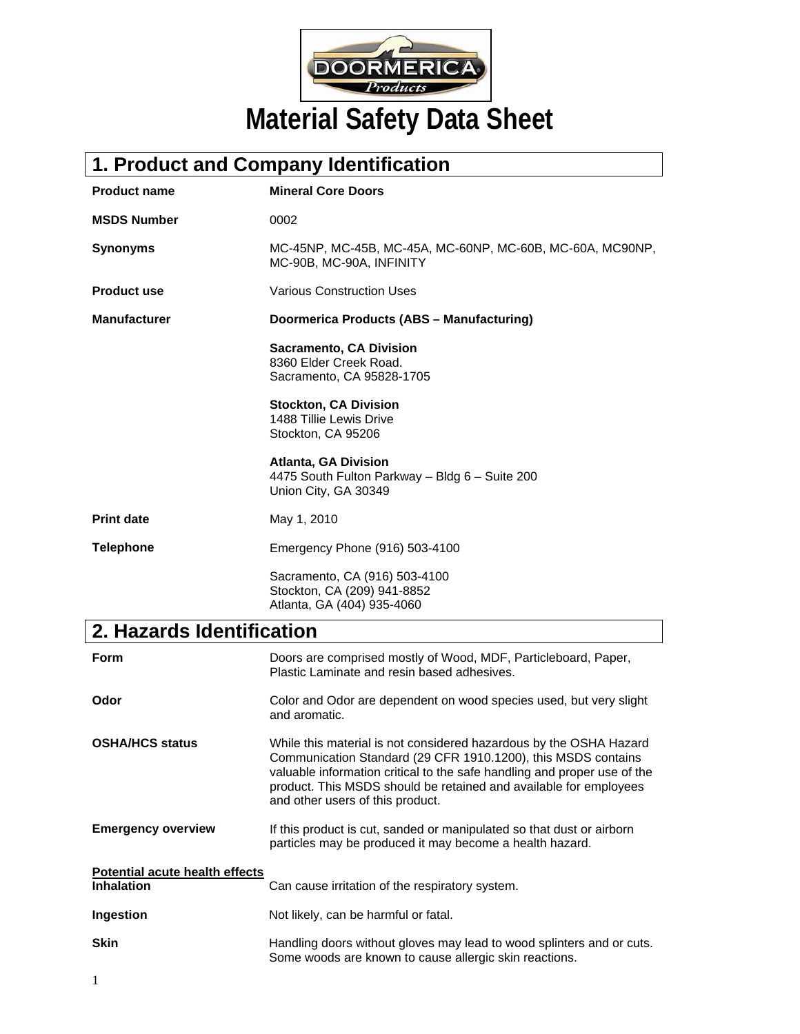

# **1. Product and Company Identification**

| <b>Product name</b> | <b>Mineral Core Doors</b>                                                                             |  |
|---------------------|-------------------------------------------------------------------------------------------------------|--|
| <b>MSDS Number</b>  | 0002                                                                                                  |  |
| <b>Synonyms</b>     | MC-45NP, MC-45B, MC-45A, MC-60NP, MC-60B, MC-60A, MC90NP,<br>MC-90B, MC-90A, INFINITY                 |  |
| <b>Product use</b>  | <b>Various Construction Uses</b>                                                                      |  |
| <b>Manufacturer</b> | Doormerica Products (ABS - Manufacturing)                                                             |  |
|                     | <b>Sacramento, CA Division</b><br>8360 Elder Creek Road.<br>Sacramento, CA 95828-1705                 |  |
|                     | <b>Stockton, CA Division</b><br>1488 Tillie Lewis Drive<br>Stockton, CA 95206                         |  |
|                     | <b>Atlanta, GA Division</b><br>4475 South Fulton Parkway - Bldg 6 - Suite 200<br>Union City, GA 30349 |  |
| <b>Print date</b>   | May 1, 2010                                                                                           |  |
| <b>Telephone</b>    | Emergency Phone (916) 503-4100                                                                        |  |
|                     | Sacramento, CA (916) 503-4100<br>Stockton, CA (209) 941-8852<br>Atlanta, GA (404) 935-4060            |  |

### **2. Hazards Identification**

| <b>Form</b>                                                | Doors are comprised mostly of Wood, MDF, Particleboard, Paper,<br>Plastic Laminate and resin based adhesives.                                                                                                                                                                                                            |  |  |
|------------------------------------------------------------|--------------------------------------------------------------------------------------------------------------------------------------------------------------------------------------------------------------------------------------------------------------------------------------------------------------------------|--|--|
| Odor                                                       | Color and Odor are dependent on wood species used, but very slight<br>and aromatic.                                                                                                                                                                                                                                      |  |  |
| <b>OSHA/HCS status</b>                                     | While this material is not considered hazardous by the OSHA Hazard<br>Communication Standard (29 CFR 1910.1200), this MSDS contains<br>valuable information critical to the safe handling and proper use of the<br>product. This MSDS should be retained and available for employees<br>and other users of this product. |  |  |
| <b>Emergency overview</b>                                  | If this product is cut, sanded or manipulated so that dust or airborn<br>particles may be produced it may become a health hazard.                                                                                                                                                                                        |  |  |
| <b>Potential acute health effects</b><br><b>Inhalation</b> | Can cause irritation of the respiratory system.                                                                                                                                                                                                                                                                          |  |  |
| Ingestion                                                  | Not likely, can be harmful or fatal.                                                                                                                                                                                                                                                                                     |  |  |
| <b>Skin</b>                                                | Handling doors without gloves may lead to wood splinters and or cuts.<br>Some woods are known to cause allergic skin reactions.                                                                                                                                                                                          |  |  |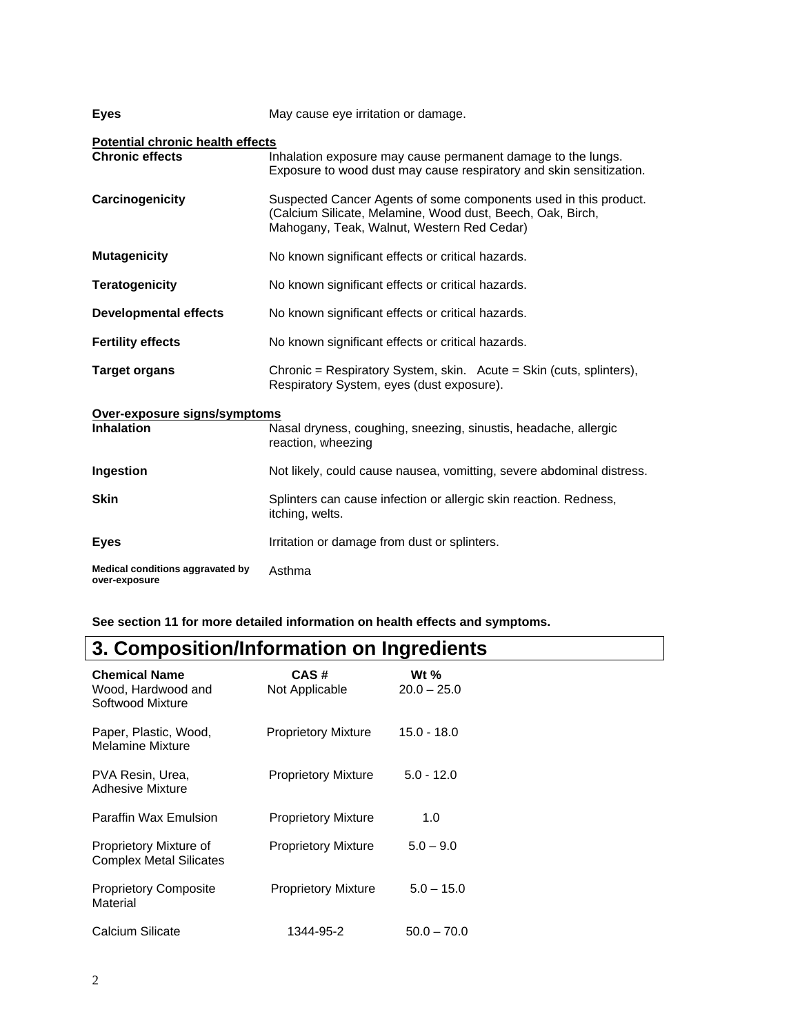| <b>Eyes</b>                                       | May cause eye irritation or damage.                                                                                                                                          |  |
|---------------------------------------------------|------------------------------------------------------------------------------------------------------------------------------------------------------------------------------|--|
| <b>Potential chronic health effects</b>           |                                                                                                                                                                              |  |
| <b>Chronic effects</b>                            | Inhalation exposure may cause permanent damage to the lungs.<br>Exposure to wood dust may cause respiratory and skin sensitization.                                          |  |
| Carcinogenicity                                   | Suspected Cancer Agents of some components used in this product.<br>(Calcium Silicate, Melamine, Wood dust, Beech, Oak, Birch,<br>Mahogany, Teak, Walnut, Western Red Cedar) |  |
| <b>Mutagenicity</b>                               | No known significant effects or critical hazards.                                                                                                                            |  |
| <b>Teratogenicity</b>                             | No known significant effects or critical hazards.                                                                                                                            |  |
| <b>Developmental effects</b>                      | No known significant effects or critical hazards.                                                                                                                            |  |
| <b>Fertility effects</b>                          | No known significant effects or critical hazards.                                                                                                                            |  |
| <b>Target organs</b>                              | Chronic = Respiratory System, skin. Acute = Skin (cuts, splinters),<br>Respiratory System, eyes (dust exposure).                                                             |  |
| Over-exposure signs/symptoms                      |                                                                                                                                                                              |  |
| <b>Inhalation</b>                                 | Nasal dryness, coughing, sneezing, sinustis, headache, allergic<br>reaction, wheezing                                                                                        |  |
| Ingestion                                         | Not likely, could cause nausea, vomitting, severe abdominal distress.                                                                                                        |  |
| <b>Skin</b>                                       | Splinters can cause infection or allergic skin reaction. Redness,<br>itching, welts.                                                                                         |  |
| <b>Eyes</b>                                       | Irritation or damage from dust or splinters.                                                                                                                                 |  |
| Medical conditions aggravated by<br>over-exposure | Asthma                                                                                                                                                                       |  |

**See section 11 for more detailed information on health effects and symptoms.** 

## **3. Composition/Information on Ingredients**

| <b>Chemical Name</b><br>Wood, Hardwood and<br>Softwood Mixture | CAS#<br>Not Applicable     | Wt $%$<br>$20.0 - 25.0$ |
|----------------------------------------------------------------|----------------------------|-------------------------|
| Paper, Plastic, Wood,<br>Melamine Mixture                      | <b>Proprietory Mixture</b> | $15.0 - 18.0$           |
| PVA Resin, Urea,<br>Adhesive Mixture                           | <b>Proprietory Mixture</b> | $5.0 - 12.0$            |
| <b>Paraffin Wax Emulsion</b>                                   | <b>Proprietory Mixture</b> | 1.0                     |
| Proprietory Mixture of<br><b>Complex Metal Silicates</b>       | <b>Proprietory Mixture</b> | $5.0 - 9.0$             |
| <b>Proprietory Composite</b><br>Material                       | <b>Proprietory Mixture</b> | $5.0 - 15.0$            |
| Calcium Silicate                                               | 1344-95-2                  | $50.0 - 70.0$           |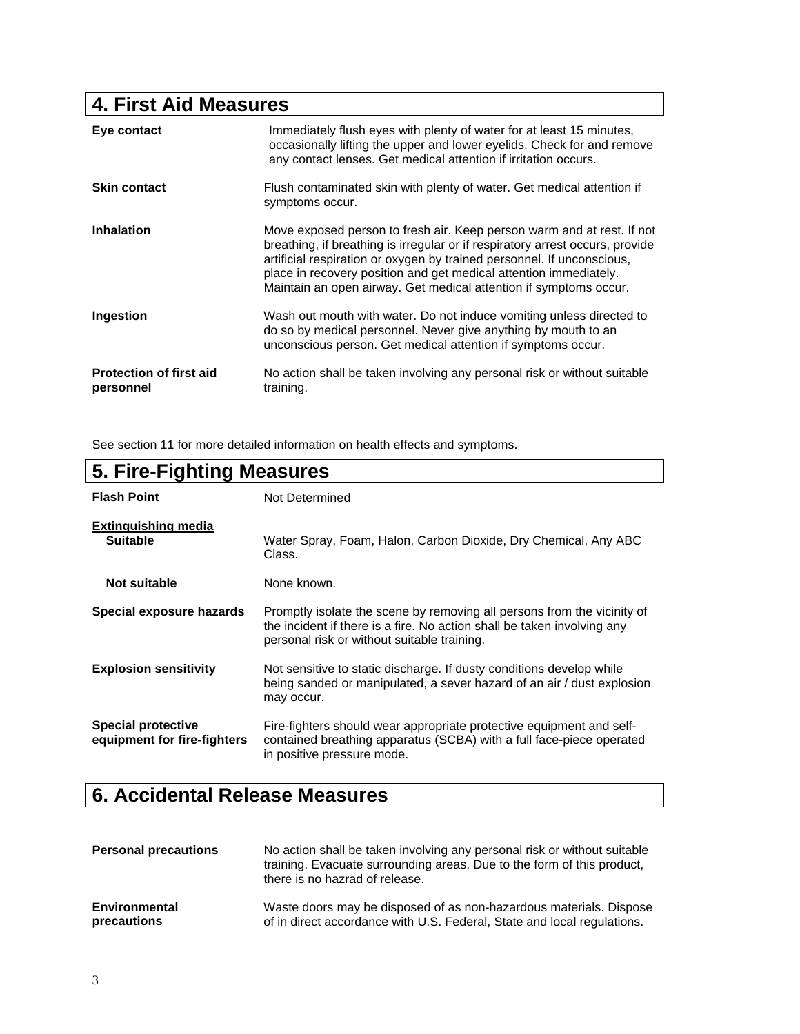## **4. First Aid Measures**

| Eye contact                                 | Immediately flush eyes with plenty of water for at least 15 minutes,<br>occasionally lifting the upper and lower eyelids. Check for and remove<br>any contact lenses. Get medical attention if irritation occurs.                                                                                                                                                           |
|---------------------------------------------|-----------------------------------------------------------------------------------------------------------------------------------------------------------------------------------------------------------------------------------------------------------------------------------------------------------------------------------------------------------------------------|
| <b>Skin contact</b>                         | Flush contaminated skin with plenty of water. Get medical attention if<br>symptoms occur.                                                                                                                                                                                                                                                                                   |
| <b>Inhalation</b>                           | Move exposed person to fresh air. Keep person warm and at rest. If not<br>breathing, if breathing is irregular or if respiratory arrest occurs, provide<br>artificial respiration or oxygen by trained personnel. If unconscious,<br>place in recovery position and get medical attention immediately.<br>Maintain an open airway. Get medical attention if symptoms occur. |
| Ingestion                                   | Wash out mouth with water. Do not induce vomiting unless directed to<br>do so by medical personnel. Never give anything by mouth to an<br>unconscious person. Get medical attention if symptoms occur.                                                                                                                                                                      |
| <b>Protection of first aid</b><br>personnel | No action shall be taken involving any personal risk or without suitable<br>training.                                                                                                                                                                                                                                                                                       |

See section 11 for more detailed information on health effects and symptoms.

| 5. Fire-Fighting Measures                                |                                                                                                                                                                                                   |  |
|----------------------------------------------------------|---------------------------------------------------------------------------------------------------------------------------------------------------------------------------------------------------|--|
| <b>Flash Point</b>                                       | Not Determined                                                                                                                                                                                    |  |
| <b>Extinguishing media</b><br><b>Suitable</b>            | Water Spray, Foam, Halon, Carbon Dioxide, Dry Chemical, Any ABC<br>Class.                                                                                                                         |  |
| Not suitable                                             | None known.                                                                                                                                                                                       |  |
| Special exposure hazards                                 | Promptly isolate the scene by removing all persons from the vicinity of<br>the incident if there is a fire. No action shall be taken involving any<br>personal risk or without suitable training. |  |
| <b>Explosion sensitivity</b>                             | Not sensitive to static discharge. If dusty conditions develop while<br>being sanded or manipulated, a sever hazard of an air / dust explosion<br>may occur.                                      |  |
| <b>Special protective</b><br>equipment for fire-fighters | Fire-fighters should wear appropriate protective equipment and self-<br>contained breathing apparatus (SCBA) with a full face-piece operated<br>in positive pressure mode.                        |  |

### **6. Accidental Release Measures**

| <b>Personal precautions</b> | No action shall be taken involving any personal risk or without suitable<br>training. Evacuate surrounding areas. Due to the form of this product,<br>there is no hazrad of release. |
|-----------------------------|--------------------------------------------------------------------------------------------------------------------------------------------------------------------------------------|
| Environmental               | Waste doors may be disposed of as non-hazardous materials. Dispose                                                                                                                   |
| precautions                 | of in direct accordance with U.S. Federal, State and local regulations.                                                                                                              |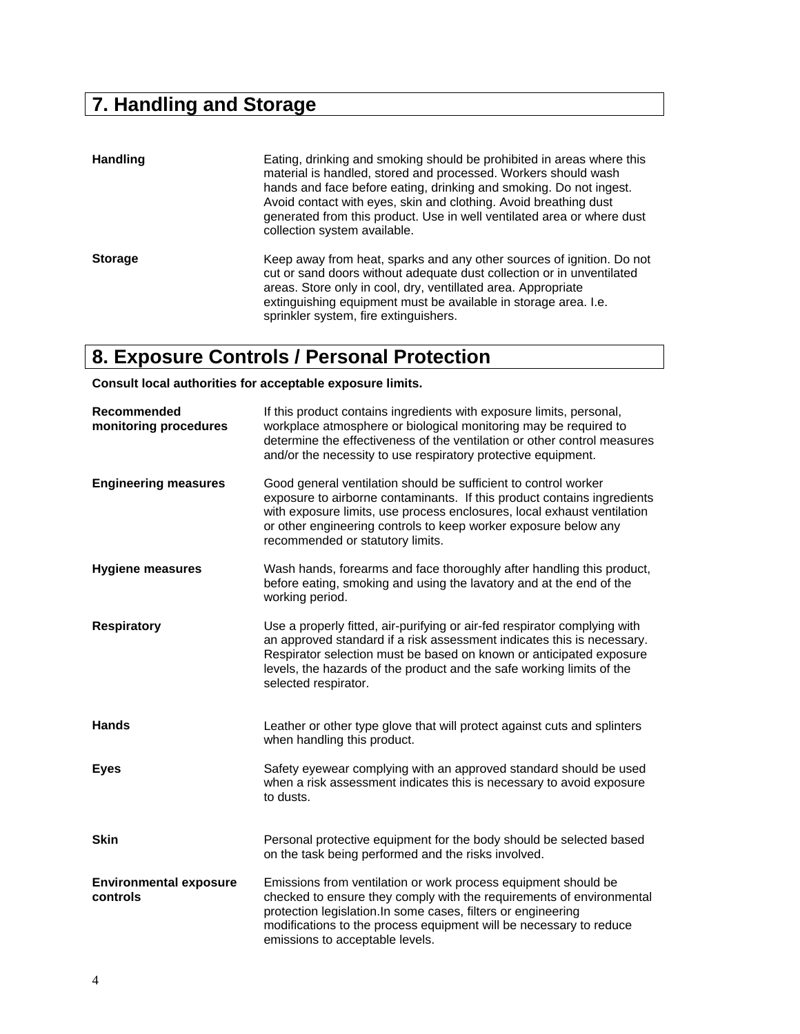# **7. Handling and Storage**

| <b>Handling</b> | Eating, drinking and smoking should be prohibited in areas where this<br>material is handled, stored and processed. Workers should wash<br>hands and face before eating, drinking and smoking. Do not ingest.<br>Avoid contact with eyes, skin and clothing. Avoid breathing dust<br>generated from this product. Use in well ventilated area or where dust<br>collection system available. |
|-----------------|---------------------------------------------------------------------------------------------------------------------------------------------------------------------------------------------------------------------------------------------------------------------------------------------------------------------------------------------------------------------------------------------|
| <b>Storage</b>  | Keep away from heat, sparks and any other sources of ignition. Do not<br>cut or sand doors without adequate dust collection or in unventilated<br>areas. Store only in cool, dry, ventillated area. Appropriate<br>extinguishing equipment must be available in storage area. I.e.<br>sprinkler system, fire extinguishers.                                                                 |

## **8. Exposure Controls / Personal Protection**

#### **Consult local authorities for acceptable exposure limits.**

| Recommended<br>monitoring procedures      | If this product contains ingredients with exposure limits, personal,<br>workplace atmosphere or biological monitoring may be required to<br>determine the effectiveness of the ventilation or other control measures<br>and/or the necessity to use respiratory protective equipment.                                        |
|-------------------------------------------|------------------------------------------------------------------------------------------------------------------------------------------------------------------------------------------------------------------------------------------------------------------------------------------------------------------------------|
| <b>Engineering measures</b>               | Good general ventilation should be sufficient to control worker<br>exposure to airborne contaminants. If this product contains ingredients<br>with exposure limits, use process enclosures, local exhaust ventilation<br>or other engineering controls to keep worker exposure below any<br>recommended or statutory limits. |
| <b>Hygiene measures</b>                   | Wash hands, forearms and face thoroughly after handling this product,<br>before eating, smoking and using the lavatory and at the end of the<br>working period.                                                                                                                                                              |
| <b>Respiratory</b>                        | Use a properly fitted, air-purifying or air-fed respirator complying with<br>an approved standard if a risk assessment indicates this is necessary.<br>Respirator selection must be based on known or anticipated exposure<br>levels, the hazards of the product and the safe working limits of the<br>selected respirator.  |
| <b>Hands</b>                              | Leather or other type glove that will protect against cuts and splinters<br>when handling this product.                                                                                                                                                                                                                      |
| <b>Eyes</b>                               | Safety eyewear complying with an approved standard should be used<br>when a risk assessment indicates this is necessary to avoid exposure<br>to dusts.                                                                                                                                                                       |
| <b>Skin</b>                               | Personal protective equipment for the body should be selected based<br>on the task being performed and the risks involved.                                                                                                                                                                                                   |
| <b>Environmental exposure</b><br>controls | Emissions from ventilation or work process equipment should be<br>checked to ensure they comply with the requirements of environmental<br>protection legislation.In some cases, filters or engineering<br>modifications to the process equipment will be necessary to reduce<br>emissions to acceptable levels.              |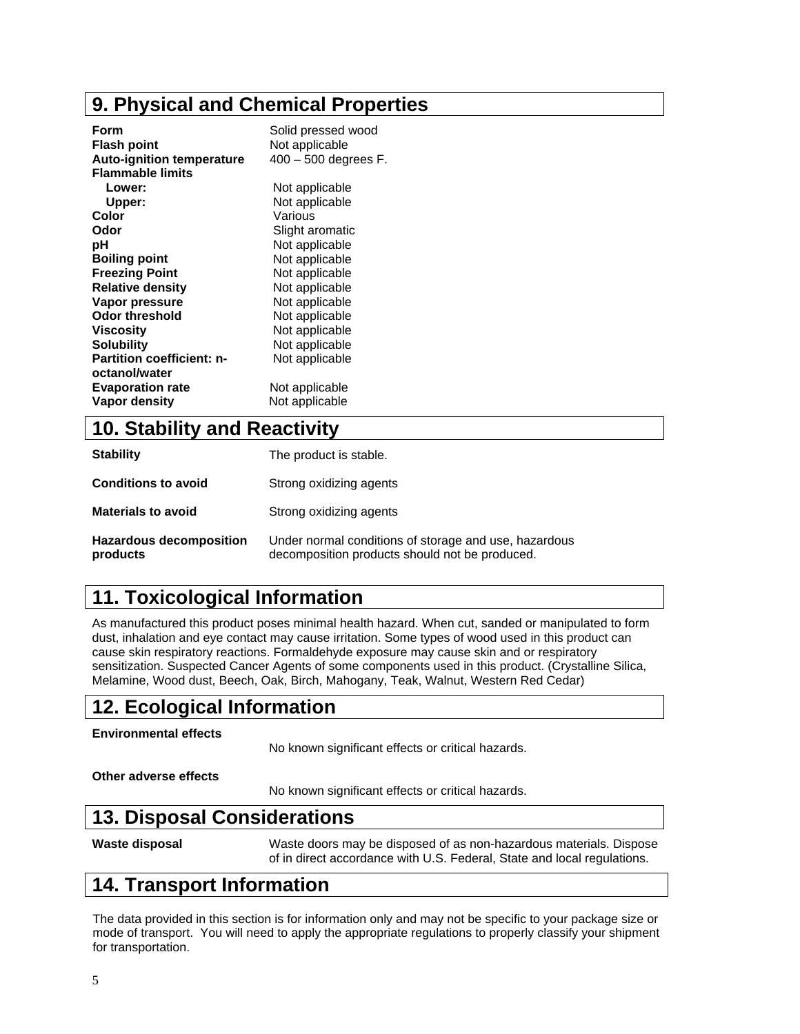### **9. Physical and Chemical Properties**

| Form<br>Flash point<br><b>Auto-ignition temperature</b><br><b>Flammable limits</b> | Solid pressed wood<br>Not applicable<br>$400 - 500$ degrees F. |
|------------------------------------------------------------------------------------|----------------------------------------------------------------|
| Lower:                                                                             | Not applicable                                                 |
| Upper:                                                                             | Not applicable                                                 |
| Color                                                                              | Various                                                        |
| Odor                                                                               | Slight aromatic                                                |
| рH                                                                                 | Not applicable                                                 |
| <b>Boiling point</b>                                                               | Not applicable                                                 |
| <b>Freezing Point</b>                                                              | Not applicable                                                 |
| <b>Relative density</b>                                                            | Not applicable                                                 |
| Vapor pressure                                                                     | Not applicable                                                 |
| Odor threshold                                                                     | Not applicable                                                 |
| Viscositv                                                                          | Not applicable                                                 |
| <b>Solubility</b>                                                                  | Not applicable                                                 |
| <b>Partition coefficient: n-</b>                                                   | Not applicable                                                 |
| octanol/water                                                                      |                                                                |
| <b>Evaporation rate</b>                                                            | Not applicable                                                 |
| <b>Vapor density</b>                                                               | Not applicable                                                 |
|                                                                                    |                                                                |

#### **10. Stability and Reactivity**

| <b>Stability</b>                           | The product is stable.                                                                                  |
|--------------------------------------------|---------------------------------------------------------------------------------------------------------|
| <b>Conditions to avoid</b>                 | Strong oxidizing agents                                                                                 |
| <b>Materials to avoid</b>                  | Strong oxidizing agents                                                                                 |
| <b>Hazardous decomposition</b><br>products | Under normal conditions of storage and use, hazardous<br>decomposition products should not be produced. |

### **11. Toxicological Information**

As manufactured this product poses minimal health hazard. When cut, sanded or manipulated to form dust, inhalation and eye contact may cause irritation. Some types of wood used in this product can cause skin respiratory reactions. Formaldehyde exposure may cause skin and or respiratory sensitization. Suspected Cancer Agents of some components used in this product. (Crystalline Silica, Melamine, Wood dust, Beech, Oak, Birch, Mahogany, Teak, Walnut, Western Red Cedar)

### **12. Ecological Information**

```
Environmental effects
```
No known significant effects or critical hazards.

```
Other adverse effects
```
No known significant effects or critical hazards.

#### **13. Disposal Considerations**

**Waste disposal** Waste doors may be disposed of as non-hazardous materials. Dispose of in direct accordance with U.S. Federal, State and local regulations.

### **14. Transport Information**

The data provided in this section is for information only and may not be specific to your package size or mode of transport. You will need to apply the appropriate regulations to properly classify your shipment for transportation.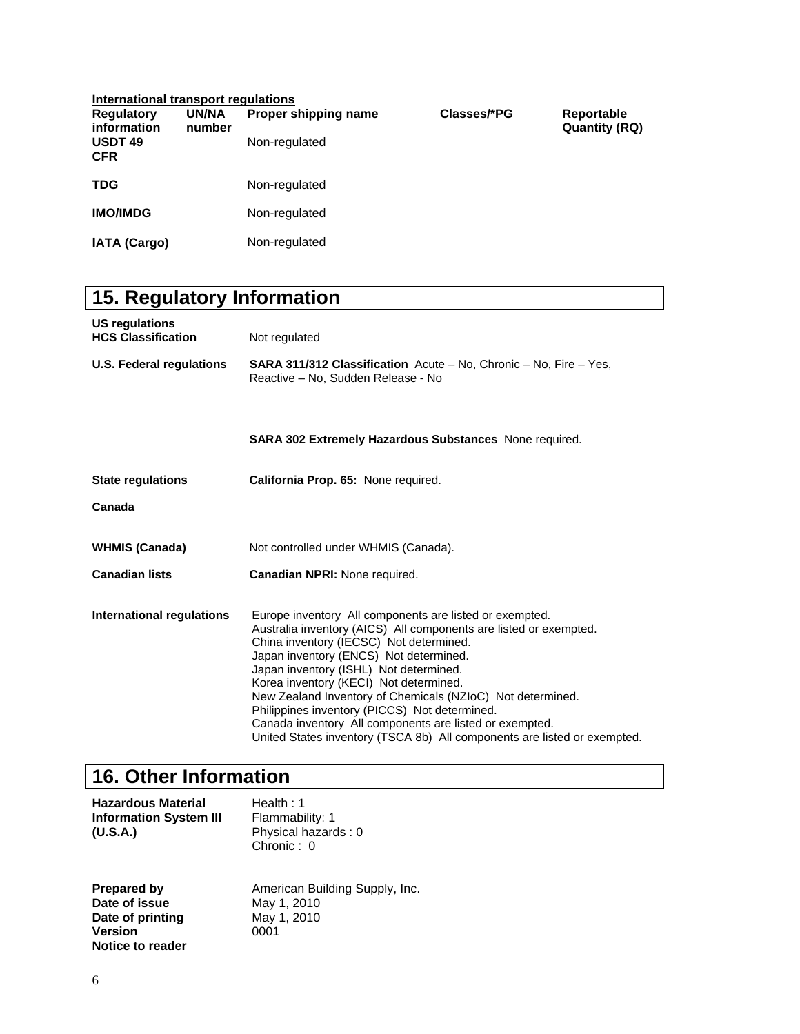| International transport regulations |                 |                      |             |                                    |
|-------------------------------------|-----------------|----------------------|-------------|------------------------------------|
| <b>Regulatory</b><br>information    | UN/NA<br>number | Proper shipping name | Classes/*PG | Reportable<br><b>Quantity (RQ)</b> |
| <b>USDT 49</b><br><b>CFR</b>        |                 | Non-regulated        |             |                                    |
| <b>TDG</b>                          |                 | Non-regulated        |             |                                    |
| <b>IMO/IMDG</b>                     |                 | Non-regulated        |             |                                    |
| <b>IATA (Cargo)</b>                 |                 | Non-regulated        |             |                                    |

# **15. Regulatory Information**

| <b>US regulations</b><br><b>HCS Classification</b> | Not regulated                                                                                                                                                                                                                                                                                                                                                                                                                                                                                                                                               |
|----------------------------------------------------|-------------------------------------------------------------------------------------------------------------------------------------------------------------------------------------------------------------------------------------------------------------------------------------------------------------------------------------------------------------------------------------------------------------------------------------------------------------------------------------------------------------------------------------------------------------|
| <b>U.S. Federal regulations</b>                    | <b>SARA 311/312 Classification</b> Acute $-$ No, Chronic $-$ No, Fire $-$ Yes,<br>Reactive - No. Sudden Release - No                                                                                                                                                                                                                                                                                                                                                                                                                                        |
|                                                    | SARA 302 Extremely Hazardous Substances None required.                                                                                                                                                                                                                                                                                                                                                                                                                                                                                                      |
| <b>State regulations</b>                           | California Prop. 65: None required.                                                                                                                                                                                                                                                                                                                                                                                                                                                                                                                         |
| Canada                                             |                                                                                                                                                                                                                                                                                                                                                                                                                                                                                                                                                             |
| <b>WHMIS (Canada)</b>                              | Not controlled under WHMIS (Canada).                                                                                                                                                                                                                                                                                                                                                                                                                                                                                                                        |
| <b>Canadian lists</b>                              | <b>Canadian NPRI:</b> None required.                                                                                                                                                                                                                                                                                                                                                                                                                                                                                                                        |
| <b>International regulations</b>                   | Europe inventory All components are listed or exempted.<br>Australia inventory (AICS) All components are listed or exempted.<br>China inventory (IECSC) Not determined.<br>Japan inventory (ENCS) Not determined.<br>Japan inventory (ISHL) Not determined.<br>Korea inventory (KECI) Not determined.<br>New Zealand Inventory of Chemicals (NZIoC) Not determined.<br>Philippines inventory (PICCS) Not determined.<br>Canada inventory All components are listed or exempted.<br>United States inventory (TSCA 8b) All components are listed or exempted. |

## **16. Other Information**

| <b>Hazardous Material</b>     | Health: $1$         |
|-------------------------------|---------------------|
| <b>Information System III</b> | Flammability: 1     |
| (U.S.A.)                      | Physical hazards: 0 |
|                               | Chronic: $0$        |

| American Building Supply, Inc. |
|--------------------------------|
| May 1, 2010                    |
| May 1, 2010                    |
| 0001                           |
|                                |
|                                |